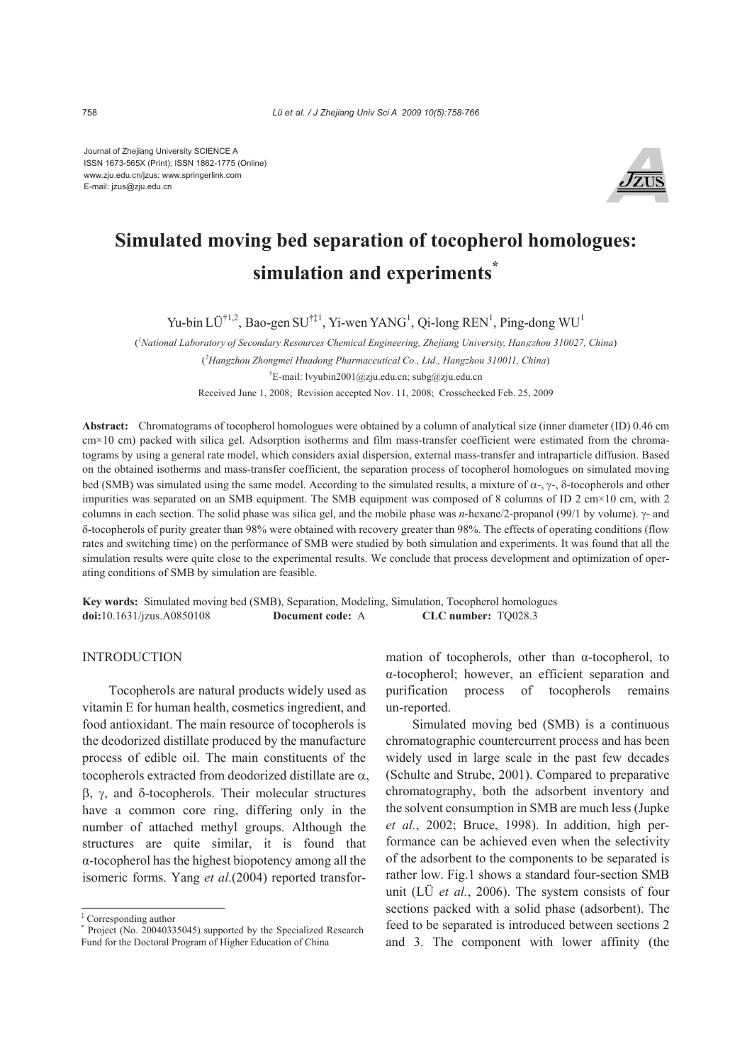Journal of Zhejiang University SCIENCE A ISSN 1673-565X (Print); ISSN 1862-1775 (Online) www.zju.edu.cn/jzus; www.springerlink.com E-mail: jzus@zju.edu.cn



# **Simulated moving bed separation of tocopherol homologues: simulation and experiments\***

Yu-bin LÜ<sup>†1,2</sup>, Bao-gen SU<sup>†‡1</sup>, Yi-wen YANG<sup>1</sup>, Qi-long REN<sup>1</sup>, Ping-dong WU<sup>1</sup>

( *1 National Laboratory of Secondary Resources Chemical Engineering, Zhejiang University, Han*gz*hou 310027, China*)

( *2 Hangzhou Zhongmei Huadong Pharmaceutical Co., Ltd., Hangzhou 310011, China*)

† E-mail: lvyubin2001@zju.edu.cn; subg@zju.edu.cn

Received June 1, 2008; Revision accepted Nov. 11, 2008; Crosschecked Feb. 25, 2009

**Abstract:** Chromatograms of tocopherol homologues were obtained by a column of analytical size (inner diameter (ID) 0.46 cm cm×10 cm) packed with silica gel. Adsorption isotherms and film mass-transfer coefficient were estimated from the chromatograms by using a general rate model, which considers axial dispersion, external mass-transfer and intraparticle diffusion. Based on the obtained isotherms and mass-transfer coefficient, the separation process of tocopherol homologues on simulated moving bed (SMB) was simulated using the same model. According to the simulated results, a mixture of  $\alpha$ -,  $\gamma$ -, δ-tocopherols and other impurities was separated on an SMB equipment. The SMB equipment was composed of 8 columns of ID 2 cm×10 cm, with 2 columns in each section. The solid phase was silica gel, and the mobile phase was *n*-hexane/2-propanol (99/1 by volume). γ- and δ-tocopherols of purity greater than 98% were obtained with recovery greater than 98%. The effects of operating conditions (flow rates and switching time) on the performance of SMB were studied by both simulation and experiments. It was found that all the simulation results were quite close to the experimental results. We conclude that process development and optimization of operating conditions of SMB by simulation are feasible.

**Key words:** Simulated moving bed (SMB), Separation, Modeling, Simulation, Tocopherol homologues **doi:**10.1631/jzus.A0850108 **Document code:** A **CLC number:** TQ028.3

# INTRODUCTION

Tocopherols are natural products widely used as vitamin E for human health, cosmetics ingredient, and food antioxidant. The main resource of tocopherols is the deodorized distillate produced by the manufacture process of edible oil. The main constituents of the tocopherols extracted from deodorized distillate are α, β, γ, and δ-tocopherols. Their molecular structures have a common core ring, differing only in the number of attached methyl groups. Although the structures are quite similar, it is found that α-tocopherol has the highest biopotency among all the isomeric forms. Yang *et al.*(2004) reported transformation of tocopherols, other than α-tocopherol, to α-tocopherol; however, an efficient separation and purification process of tocopherols remains un-reported.

Simulated moving bed (SMB) is a continuous chromatographic countercurrent process and has been widely used in large scale in the past few decades (Schulte and Strube, 2001). Compared to preparative chromatography, both the adsorbent inventory and the solvent consumption in SMB are much less (Jupke *et al.*, 2002; Bruce, 1998). In addition, high performance can be achieved even when the selectivity of the adsorbent to the components to be separated is rather low. Fig.1 shows a standard four-section SMB unit (LÜ *et al.*, 2006). The system consists of four sections packed with a solid phase (adsorbent). The feed to be separated is introduced between sections 2 and 3. The component with lower affinity (the

<sup>‡</sup> Corresponding author

<sup>\*</sup> Project (No. 20040335045) supported by the Specialized Research Fund for the Doctoral Program of Higher Education of China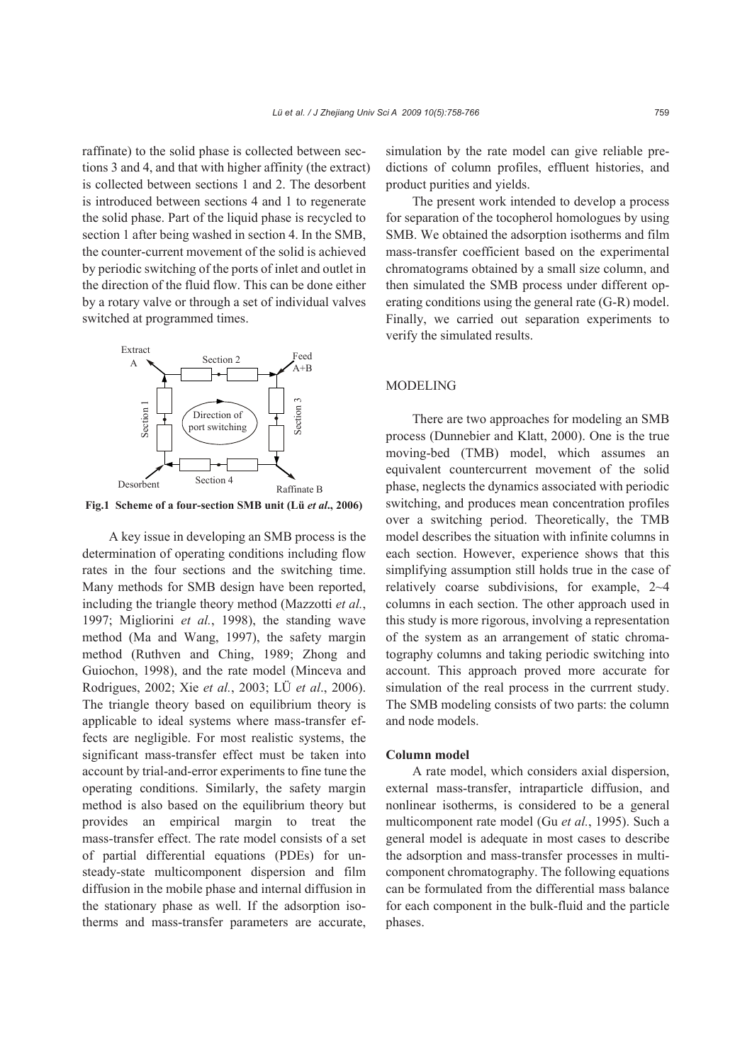raffinate) to the solid phase is collected between sections 3 and 4, and that with higher affinity (the extract) is collected between sections 1 and 2. The desorbent is introduced between sections 4 and 1 to regenerate the solid phase. Part of the liquid phase is recycled to section 1 after being washed in section 4. In the SMB, the counter-current movement of the solid is achieved by periodic switching of the ports of inlet and outlet in the direction of the fluid flow. This can be done either by a rotary valve or through a set of individual valves switched at programmed times.



**Fig.1 Scheme of a four-section SMB unit (Lü** *et al***., 2006)**

A key issue in developing an SMB process is the determination of operating conditions including flow rates in the four sections and the switching time. Many methods for SMB design have been reported, including the triangle theory method (Mazzotti *et al.*, 1997; Migliorini *et al.*, 1998), the standing wave method (Ma and Wang, 1997), the safety margin method (Ruthven and Ching, 1989; Zhong and Guiochon, 1998), and the rate model (Minceva and Rodrigues, 2002; Xie *et al.*, 2003; LÜ *et al*., 2006). The triangle theory based on equilibrium theory is applicable to ideal systems where mass-transfer effects are negligible. For most realistic systems, the significant mass-transfer effect must be taken into account by trial-and-error experiments to fine tune the operating conditions. Similarly, the safety margin method is also based on the equilibrium theory but provides an empirical margin to treat the mass-transfer effect. The rate model consists of a set of partial differential equations (PDEs) for unsteady-state multicomponent dispersion and film diffusion in the mobile phase and internal diffusion in the stationary phase as well. If the adsorption isotherms and mass-transfer parameters are accurate, simulation by the rate model can give reliable predictions of column profiles, effluent histories, and product purities and yields.

The present work intended to develop a process for separation of the tocopherol homologues by using SMB. We obtained the adsorption isotherms and film mass-transfer coefficient based on the experimental chromatograms obtained by a small size column, and then simulated the SMB process under different operating conditions using the general rate (G-R) model. Finally, we carried out separation experiments to verify the simulated results.

## MODELING

There are two approaches for modeling an SMB process (Dunnebier and Klatt, 2000). One is the true moving-bed (TMB) model, which assumes an equivalent countercurrent movement of the solid phase, neglects the dynamics associated with periodic switching, and produces mean concentration profiles over a switching period. Theoretically, the TMB model describes the situation with infinite columns in each section. However, experience shows that this simplifying assumption still holds true in the case of relatively coarse subdivisions, for example, 2~4 columns in each section. The other approach used in this study is more rigorous, involving a representation of the system as an arrangement of static chromatography columns and taking periodic switching into account. This approach proved more accurate for simulation of the real process in the currrent study. The SMB modeling consists of two parts: the column and node models.

## **Column model**

A rate model, which considers axial dispersion, external mass-transfer, intraparticle diffusion, and nonlinear isotherms, is considered to be a general multicomponent rate model (Gu *et al.*, 1995). Such a general model is adequate in most cases to describe the adsorption and mass-transfer processes in multicomponent chromatography. The following equations can be formulated from the differential mass balance for each component in the bulk-fluid and the particle phases.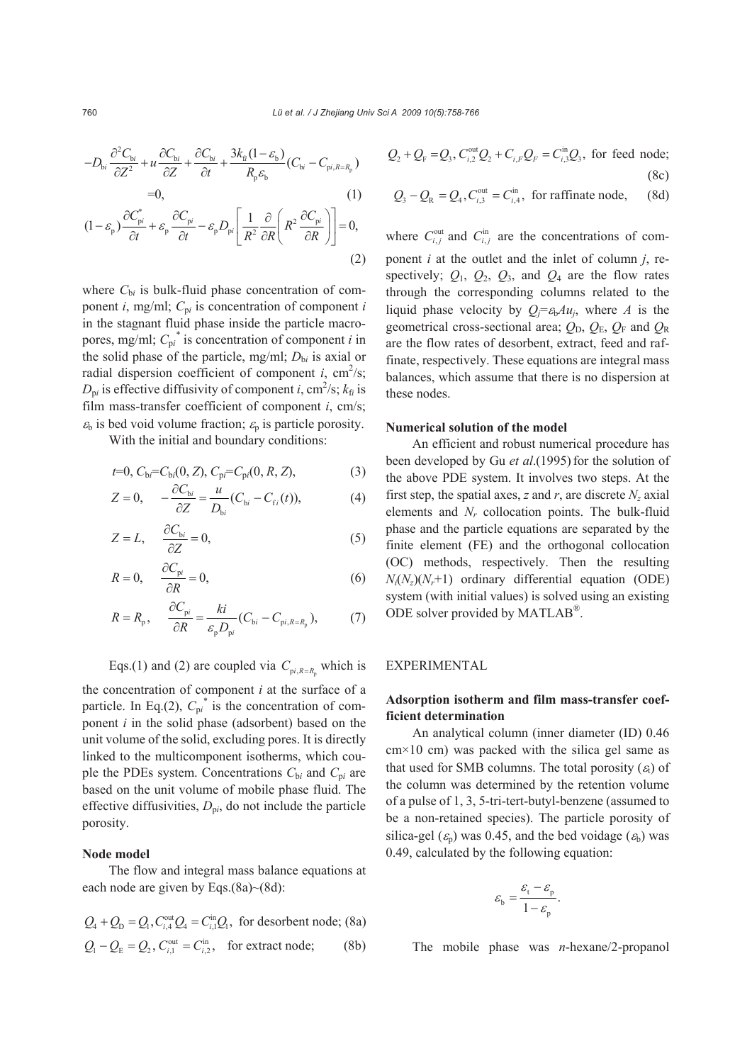$$
-D_{bi}\frac{\partial^2 C_{bi}}{\partial Z^2} + u\frac{\partial C_{bi}}{\partial Z} + \frac{\partial C_{bi}}{\partial t} + \frac{3k_{fi}(1-\varepsilon_b)}{R_p\varepsilon_b}(C_{bi} - C_{pi, R=R_p})
$$

$$
=0,
$$
\n
$$
(1 - \varepsilon_{p}) \frac{\partial C_{pi}^{*}}{\partial t} + \varepsilon_{p} \frac{\partial C_{pi}}{\partial t} - \varepsilon_{p} D_{pi} \left[ \frac{1}{R^{2}} \frac{\partial}{\partial R} \left( R^{2} \frac{\partial C_{pi}}{\partial R} \right) \right] = 0,
$$
\n
$$
(2)
$$

where  $C_{bi}$  is bulk-fluid phase concentration of component *i*, mg/ml;  $C_{pi}$  is concentration of component *i* in the stagnant fluid phase inside the particle macropores, mg/ml;  $C_{pi}^{*}$  is concentration of component *i* in the solid phase of the particle, mg/ml;  $D_{\rm b}i$  is axial or radial dispersion coefficient of component  $i$ , cm<sup>2</sup>/s;  $D_{\rm pi}$  is effective diffusivity of component *i*, cm<sup>2</sup>/s;  $k_{\rm fi}$  is film mass-transfer coefficient of component *i*, cm/s;  $\varepsilon_{\rm b}$  is bed void volume fraction;  $\varepsilon_{\rm b}$  is particle porosity.

With the initial and boundary conditions:

$$
t=0, C_{bi}=C_{bi}(0, Z), C_{pi}=C_{pi}(0, R, Z), \qquad (3)
$$

$$
Z = 0, \quad -\frac{\partial C_{\mathbf{b}i}}{\partial Z} = \frac{u}{D_{\mathbf{b}i}} (C_{\mathbf{b}i} - C_{\mathbf{f}i}(t)), \tag{4}
$$

$$
Z = L, \quad \frac{\partial C_{bi}}{\partial Z} = 0,
$$
\n<sup>(5)</sup>

$$
R = 0, \quad \frac{\partial C_{\text{pi}}}{\partial R} = 0,\tag{6}
$$

$$
R = R_{\rm p}, \qquad \frac{\partial C_{\rm p i}}{\partial R} = \frac{ki}{\varepsilon_{\rm p} D_{\rm p i}} (C_{\rm bi} - C_{\rm p i, R = R_{\rm p}}), \tag{7}
$$

Eqs.(1) and (2) are coupled via  $C_{pi, R=R_n}$  which is

the concentration of component *i* at the surface of a particle. In Eq.(2),  $C_{pi}^{*}$  is the concentration of component *i* in the solid phase (adsorbent) based on the unit volume of the solid, excluding pores. It is directly linked to the multicomponent isotherms, which couple the PDEs system. Concentrations  $C_{bi}$  and  $C_{pi}$  are based on the unit volume of mobile phase fluid. The effective diffusivities,  $D_{pi}$ , do not include the particle porosity.

## **Node model**

The flow and integral mass balance equations at each node are given by Eqs.(8a)~(8d):

$$
Q_4 + Q_{\rm D} = Q_1, C_{i,4}^{\text{out}} Q_4 = C_{i,1}^{\text{in}} Q_1
$$
, for desorbent node; (8a)  
\n $Q_1 - Q_{\rm E} = Q_2, C_{i,1}^{\text{out}} = C_{i,2}^{\text{in}}$ , for extract node; (8b)

$$
Q_2 + Q_F = Q_3
$$
,  $C_{i,2}^{\text{out}}Q_2 + C_{i,F}Q_F = C_{i,3}^{\text{in}}Q_3$ , for feed node;  
(8c)

$$
Q_3 - Q_R = Q_4, C_{i,3}^{\text{out}} = C_{i,4}^{\text{in}}, \text{ for raffinate node}, \qquad (8d)
$$

where  $C_{i,j}^{\text{out}}$  and  $C_{i,j}^{\text{in}}$  are the concentrations of component *i* at the outlet and the inlet of column *j*, respectively;  $Q_1$ ,  $Q_2$ ,  $Q_3$ , and  $Q_4$  are the flow rates through the corresponding columns related to the liquid phase velocity by  $Q_i = \varepsilon_b A u_i$ , where *A* is the geometrical cross-sectional area;  $Q_D$ ,  $Q_E$ ,  $Q_F$  and  $Q_R$ are the flow rates of desorbent, extract, feed and raffinate, respectively. These equations are integral mass balances, which assume that there is no dispersion at these nodes.

#### **Numerical solution of the model**

An efficient and robust numerical procedure has been developed by Gu et al.(1995) for the solution of the above PDE system. It involves two steps. At the first step, the spatial axes, *z* and *r*, are discrete  $N_z$  axial elements and *Nr* collocation points. The bulk-fluid phase and the particle equations are separated by the finite element (FE) and the orthogonal collocation (OC) methods, respectively. Then the resulting  $N_i(N_z)(N_r+1)$  ordinary differential equation (ODE) system (with initial values) is solved using an existing ODE solver provided by MATLAB®.

#### EXPERIMENTAL

## **Adsorption isotherm and film mass-transfer coefficient determination**

An analytical column (inner diameter (ID) 0.46  $cm \times 10$  cm) was packed with the silica gel same as that used for SMB columns. The total porosity  $(\varepsilon_t)$  of the column was determined by the retention volume of a pulse of 1, 3, 5-tri-tert-butyl-benzene (assumed to be a non-retained species). The particle porosity of silica-gel  $(\varepsilon_p)$  was 0.45, and the bed voidage  $(\varepsilon_b)$  was 0.49, calculated by the following equation:

$$
\varepsilon_{\rm b} = \frac{\varepsilon_{\rm t} - \varepsilon_{\rm p}}{1 - \varepsilon_{\rm p}}.
$$

The mobile phase was *n*-hexane/2-propanol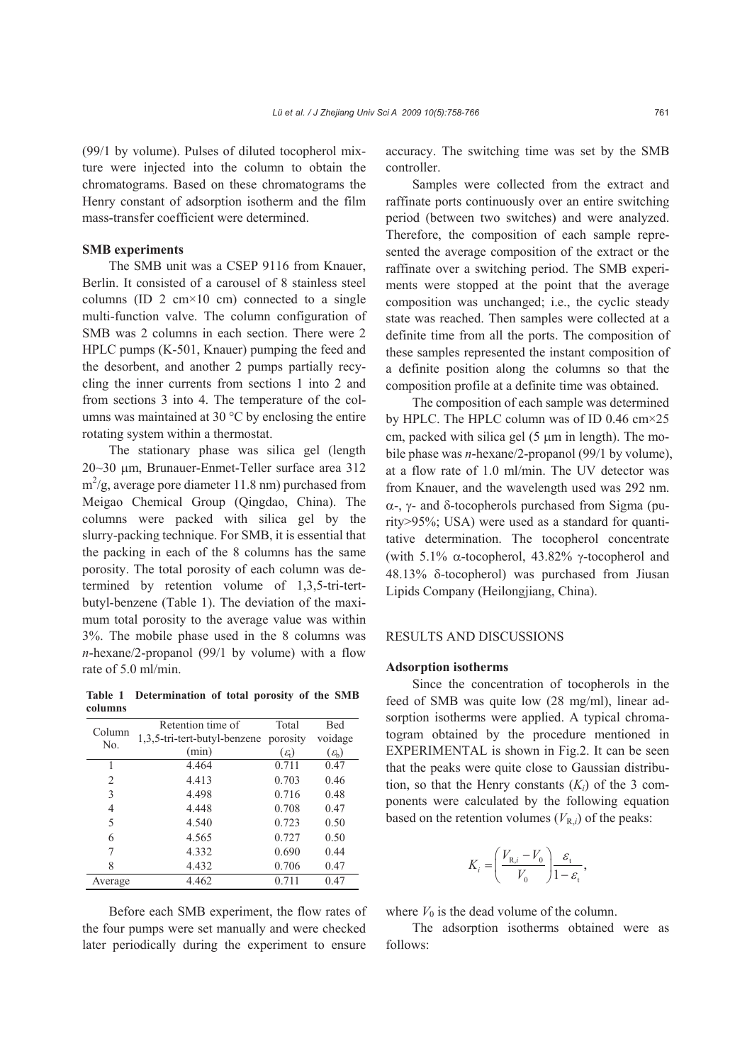(99/1 by volume). Pulses of diluted tocopherol mixture were injected into the column to obtain the chromatograms. Based on these chromatograms the Henry constant of adsorption isotherm and the film mass-transfer coefficient were determined.

## **SMB experiments**

The SMB unit was a CSEP 9116 from Knauer, Berlin. It consisted of a carousel of 8 stainless steel columns (ID 2  $\text{cm} \times 10 \text{ cm}$ ) connected to a single multi-function valve. The column configuration of SMB was 2 columns in each section. There were 2 HPLC pumps (K-501, Knauer) pumping the feed and the desorbent, and another 2 pumps partially recycling the inner currents from sections 1 into 2 and from sections 3 into 4. The temperature of the columns was maintained at 30 °C by enclosing the entire rotating system within a thermostat.

The stationary phase was silica gel (length 20~30 μm, Brunauer-Enmet-Teller surface area 312  $m^2/g$ , average pore diameter 11.8 nm) purchased from Meigao Chemical Group (Qingdao, China). The columns were packed with silica gel by the slurry-packing technique. For SMB, it is essential that the packing in each of the 8 columns has the same porosity. The total porosity of each column was determined by retention volume of 1,3,5-tri-tertbutyl-benzene (Table 1). The deviation of the maximum total porosity to the average value was within 3%. The mobile phase used in the 8 columns was *n*-hexane/2-propanol (99/1 by volume) with a flow rate of 5.0 ml/min.

**Table 1 Determination of total porosity of the SMB columns** 

| Column<br>No.  | Retention time of                     | Total             | <b>Bed</b>              |  |
|----------------|---------------------------------------|-------------------|-------------------------|--|
|                | 1,3,5-tri-tert-butyl-benzene porosity |                   | voidage                 |  |
|                | (min)                                 | $(\varepsilon_t)$ | $(\varepsilon_{\rm b})$ |  |
|                | 4.464                                 | 0.711             | 0.47                    |  |
| $\overline{c}$ | 4.413                                 | 0.703             | 0.46                    |  |
| 3              | 4.498                                 | 0.716             | 0.48                    |  |
| 4              | 4.448                                 | 0.708             | 0.47                    |  |
| 5              | 4.540                                 | 0.723             | 0.50                    |  |
| 6              | 4.565                                 | 0.727             | 0.50                    |  |
| 7              | 4.332                                 | 0.690             | 0.44                    |  |
| 8              | 4.432                                 | 0.706             | 0.47                    |  |
| Average        | 4.462                                 | 0.711             | 0.47                    |  |

Before each SMB experiment, the flow rates of the four pumps were set manually and were checked later periodically during the experiment to ensure accuracy. The switching time was set by the SMB controller.

Samples were collected from the extract and raffinate ports continuously over an entire switching period (between two switches) and were analyzed. Therefore, the composition of each sample represented the average composition of the extract or the raffinate over a switching period. The SMB experiments were stopped at the point that the average composition was unchanged; i.e., the cyclic steady state was reached. Then samples were collected at a definite time from all the ports. The composition of these samples represented the instant composition of a definite position along the columns so that the composition profile at a definite time was obtained.

The composition of each sample was determined by HPLC. The HPLC column was of ID 0.46 cm×25 cm, packed with silica gel  $(5 \mu m)$  in length). The mobile phase was *n*-hexane/2-propanol (99/1 by volume), at a flow rate of 1.0 ml/min. The UV detector was from Knauer, and the wavelength used was 292 nm. α-, γ- and δ-tocopherols purchased from Sigma (purity>95%; USA) were used as a standard for quantitative determination. The tocopherol concentrate (with 5.1% α-tocopherol, 43.82% γ-tocopherol and 48.13% δ-tocopherol) was purchased from Jiusan Lipids Company (Heilongjiang, China).

## RESULTS AND DISCUSSIONS

#### **Adsorption isotherms**

Since the concentration of tocopherols in the feed of SMB was quite low (28 mg/ml), linear adsorption isotherms were applied. A typical chromatogram obtained by the procedure mentioned in EXPERIMENTAL is shown in Fig.2. It can be seen that the peaks were quite close to Gaussian distribution, so that the Henry constants  $(K_i)$  of the 3 components were calculated by the following equation based on the retention volumes  $(V_{\text{R},i})$  of the peaks:

$$
K_i = \left(\frac{V_{\mathrm{R},i} - V_0}{V_0}\right) \frac{\varepsilon_{\mathrm{t}}}{1 - \varepsilon_{\mathrm{t}}},
$$

where  $V_0$  is the dead volume of the column.

The adsorption isotherms obtained were as follows: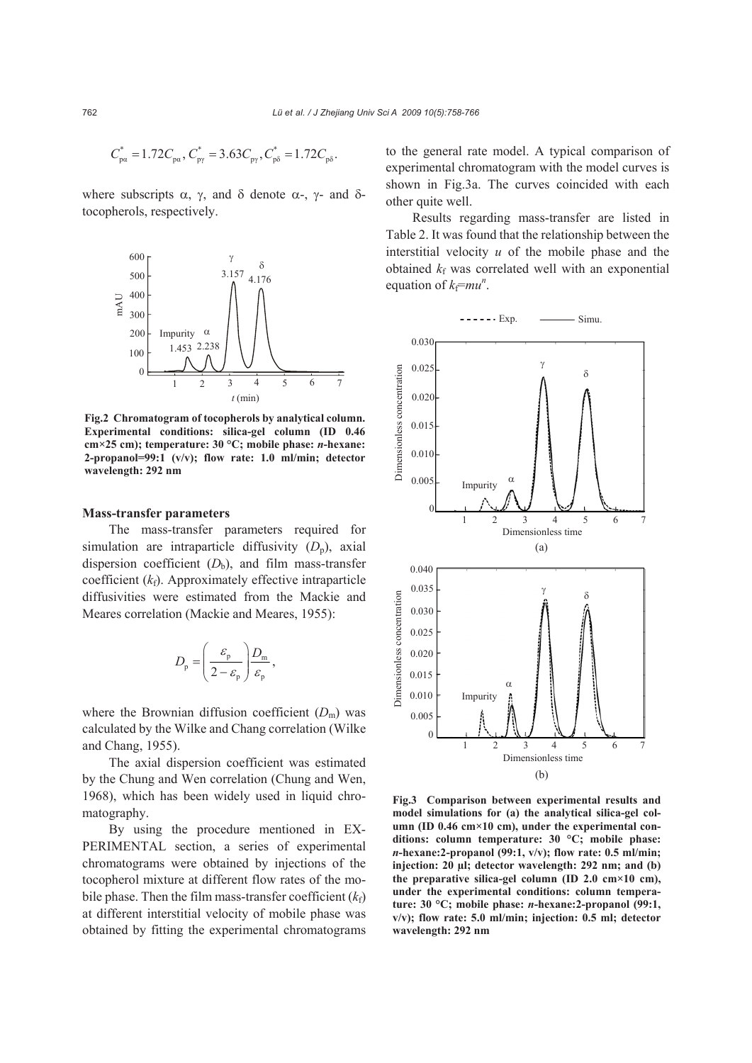$$
C_{\text{p}a}^* = 1.72 C_{\text{p}a}, C_{\text{p}y}^* = 3.63 C_{\text{p}y}, C_{\text{p}a}^* = 1.72 C_{\text{p}a}.
$$

where subscripts  $\alpha$ ,  $\gamma$ , and δ denote  $\alpha$ -,  $\gamma$ - and δtocopherols, respectively.



**Fig.2 Chromatogram of tocopherols by analytical column. Experimental conditions: silica-gel column (ID 0.46 cm×25 cm); temperature: 30 °C; mobile phase:** *n***-hexane: 2-propanol=99:1 (v/v); flow rate: 1.0 ml/min; detector wavelength: 292 nm** 

#### **Mass-transfer parameters**

The mass-transfer parameters required for simulation are intraparticle diffusivity  $(D_p)$ , axial dispersion coefficient  $(D_b)$ , and film mass-transfer coefficient  $(k_f)$ . Approximately effective intraparticle diffusivities were estimated from the Mackie and Meares correlation (Mackie and Meares, 1955):

$$
D_{\rm p} = \left(\frac{\varepsilon_{\rm p}}{2 - \varepsilon_{\rm p}}\right) \frac{D_{\rm m}}{\varepsilon_{\rm p}},
$$

where the Brownian diffusion coefficient  $(D_m)$  was calculated by the Wilke and Chang correlation (Wilke and Chang, 1955).

The axial dispersion coefficient was estimated by the Chung and Wen correlation (Chung and Wen, 1968), which has been widely used in liquid chromatography.

By using the procedure mentioned in EX-PERIMENTAL section, a series of experimental chromatograms were obtained by injections of the tocopherol mixture at different flow rates of the mobile phase. Then the film mass-transfer coefficient  $(k_f)$ at different interstitial velocity of mobile phase was obtained by fitting the experimental chromatograms to the general rate model. A typical comparison of experimental chromatogram with the model curves is shown in Fig.3a. The curves coincided with each other quite well.

Results regarding mass-transfer are listed in Table 2. It was found that the relationship between the interstitial velocity *u* of the mobile phase and the obtained  $k_f$  was correlated well with an exponential equation of  $k_f = m u^n$ .



**Fig.3 Comparison between experimental results and model simulations for (a) the analytical silica-gel column (ID 0.46 cm×10 cm), under the experimental conditions: column temperature: 30 °C; mobile phase:**  *n***-hexane:2-propanol (99:1, v/v); flow rate: 0.5 ml/min; injection: 20 µl; detector wavelength: 292 nm; and (b) the preparative silica-gel column (ID 2.0 cm×10 cm), under the experimental conditions: column temperature: 30 °C; mobile phase:** *n***-hexane:2-propanol (99:1, v/v); flow rate: 5.0 ml/min; injection: 0.5 ml; detector wavelength: 292 nm**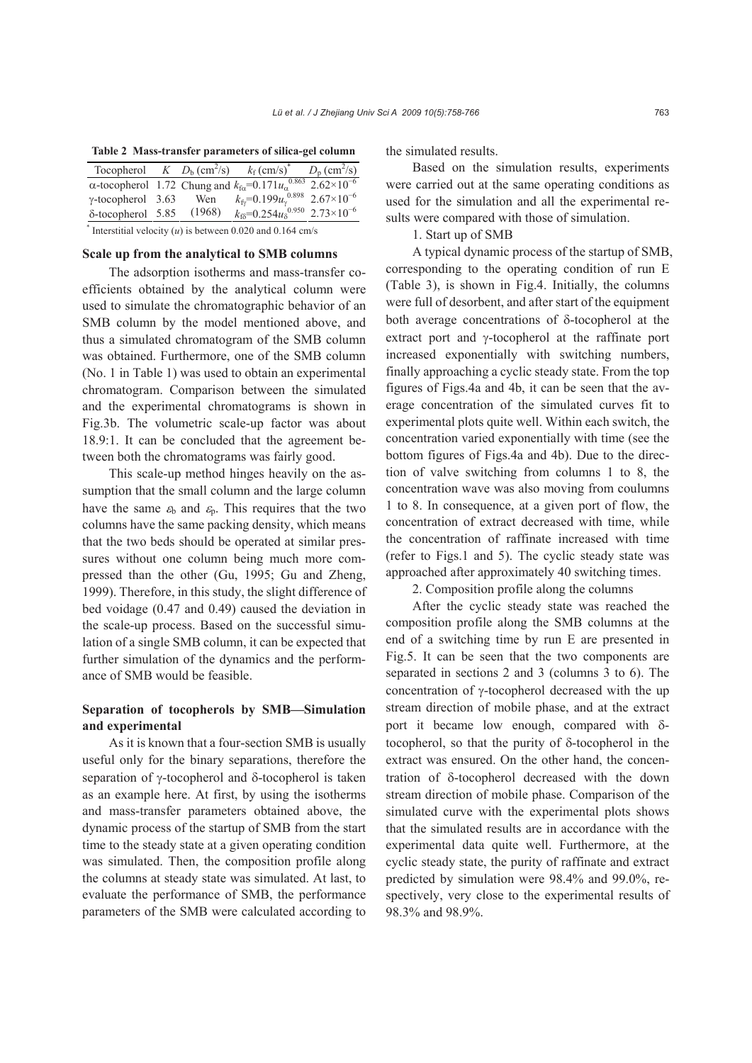|                           |        | Tocopherol $K$ $D_b$ (cm <sup>2</sup> /s) $k_f$ (cm/s) <sup>*</sup> $D_p$ (cm <sup>2</sup> /s)          |  |
|---------------------------|--------|---------------------------------------------------------------------------------------------------------|--|
|                           |        | α-tocopherol 1.72 Chung and $k_{\text{fa}} = 0.171 u_{\alpha}^{0.863}$ $\overline{2.62 \times 10^{-6}}$ |  |
| $\gamma$ -tocopherol 3.63 | Wen    | $k_{\text{fv}} = 0.199 u_v^{0.898} 2.67 \times 10^{-6}$                                                 |  |
| $\delta$ -tocopherol 5.85 | (1968) | $k_{18} = 0.254 u_8^{0.950} 2.73 \times 10^{-6}$                                                        |  |

**Table 2 Mass-transfer parameters of silica-gel column** 

 $*$  Interstitial velocity  $(u)$  is between 0.020 and 0.164 cm/s

## **Scale up from the analytical to SMB columns**

The adsorption isotherms and mass-transfer coefficients obtained by the analytical column were used to simulate the chromatographic behavior of an SMB column by the model mentioned above, and thus a simulated chromatogram of the SMB column was obtained. Furthermore, one of the SMB column (No. 1 in Table 1) was used to obtain an experimental chromatogram. Comparison between the simulated and the experimental chromatograms is shown in Fig.3b. The volumetric scale-up factor was about 18.9:1. It can be concluded that the agreement between both the chromatograms was fairly good.

This scale-up method hinges heavily on the assumption that the small column and the large column have the same  $\varepsilon_b$  and  $\varepsilon_p$ . This requires that the two columns have the same packing density, which means that the two beds should be operated at similar pressures without one column being much more compressed than the other (Gu, 1995; Gu and Zheng, 1999). Therefore, in this study, the slight difference of bed voidage (0.47 and 0.49) caused the deviation in the scale-up process. Based on the successful simulation of a single SMB column, it can be expected that further simulation of the dynamics and the performance of SMB would be feasible.

# **Separation of tocopherols by SMB—Simulation and experimental**

As it is known that a four-section SMB is usually useful only for the binary separations, therefore the separation of γ-tocopherol and δ-tocopherol is taken as an example here. At first, by using the isotherms and mass-transfer parameters obtained above, the dynamic process of the startup of SMB from the start time to the steady state at a given operating condition was simulated. Then, the composition profile along the columns at steady state was simulated. At last, to evaluate the performance of SMB, the performance parameters of the SMB were calculated according to

the simulated results.

Based on the simulation results, experiments were carried out at the same operating conditions as used for the simulation and all the experimental results were compared with those of simulation.

1. Start up of SMB

A typical dynamic process of the startup of SMB, corresponding to the operating condition of run E (Table 3), is shown in Fig.4. Initially, the columns were full of desorbent, and after start of the equipment both average concentrations of δ-tocopherol at the extract port and γ-tocopherol at the raffinate port increased exponentially with switching numbers, finally approaching a cyclic steady state. From the top figures of Figs.4a and 4b, it can be seen that the average concentration of the simulated curves fit to experimental plots quite well. Within each switch, the concentration varied exponentially with time (see the bottom figures of Figs.4a and 4b). Due to the direction of valve switching from columns 1 to 8, the concentration wave was also moving from coulumns 1 to 8. In consequence, at a given port of flow, the concentration of extract decreased with time, while the concentration of raffinate increased with time (refer to Figs.1 and 5). The cyclic steady state was approached after approximately 40 switching times.

2. Composition profile along the columns

After the cyclic steady state was reached the composition profile along the SMB columns at the end of a switching time by run E are presented in Fig.5. It can be seen that the two components are separated in sections 2 and 3 (columns 3 to 6). The concentration of γ-tocopherol decreased with the up stream direction of mobile phase, and at the extract port it became low enough, compared with  $\delta$ tocopherol, so that the purity of δ-tocopherol in the extract was ensured. On the other hand, the concentration of δ-tocopherol decreased with the down stream direction of mobile phase. Comparison of the simulated curve with the experimental plots shows that the simulated results are in accordance with the experimental data quite well. Furthermore, at the cyclic steady state, the purity of raffinate and extract predicted by simulation were 98.4% and 99.0%, respectively, very close to the experimental results of 98.3% and 98.9%.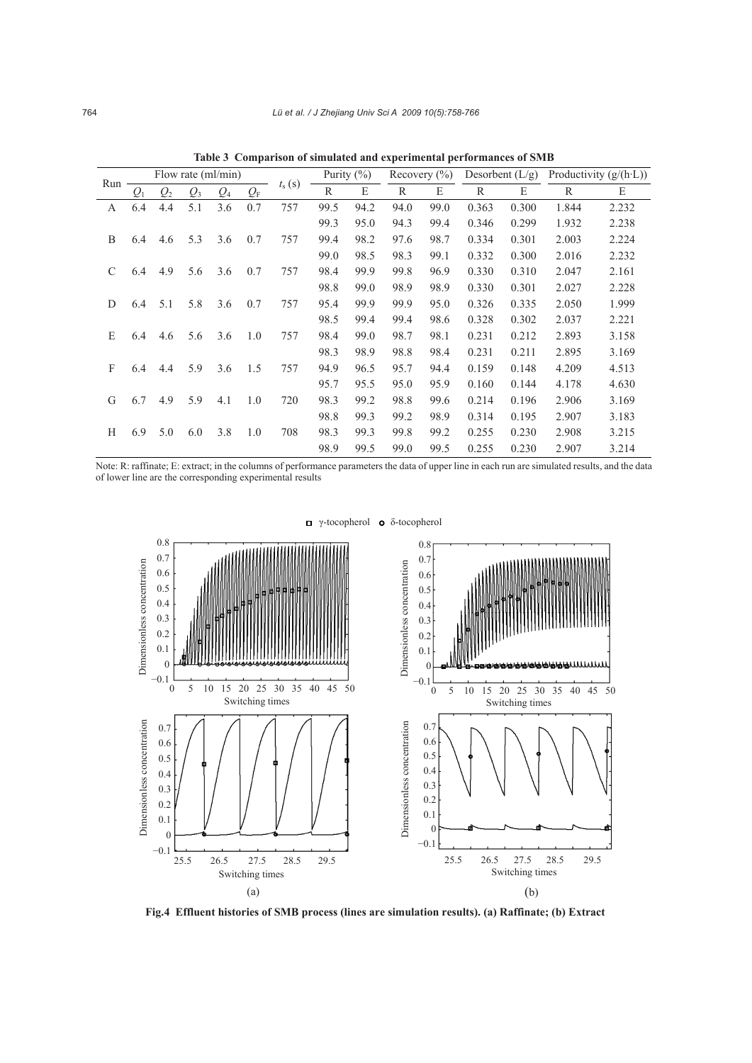| Run | Flow rate (ml/min) |                 |                 |       |             | Purity $(\% )$  |      | Recovery $(\% )$ |      | Desorbent $(L/g)$ |       | Productivity $(g/(h \cdot L))$ |       |       |
|-----|--------------------|-----------------|-----------------|-------|-------------|-----------------|------|------------------|------|-------------------|-------|--------------------------------|-------|-------|
|     | $\mathcal{Q}_1$    | $\mathcal{Q}_2$ | $\mathcal{Q}_3$ | $Q_4$ | $Q_{\rm F}$ | $t_{\rm s}$ (s) | R    | E                | R    | E                 | R     | E                              | R     | E     |
| A   | 6.4                | 4.4             | 5.1             | 3.6   | 0.7         | 757             | 99.5 | 94.2             | 94.0 | 99.0              | 0.363 | 0.300                          | 1.844 | 2.232 |
|     |                    |                 |                 |       |             |                 | 99.3 | 95.0             | 94.3 | 99.4              | 0.346 | 0.299                          | 1.932 | 2.238 |
| B   | 6.4                | 4.6             | 5.3             | 3.6   | 0.7         | 757             | 99.4 | 98.2             | 97.6 | 98.7              | 0.334 | 0.301                          | 2.003 | 2.224 |
|     |                    |                 |                 |       |             |                 | 99.0 | 98.5             | 98.3 | 99.1              | 0.332 | 0.300                          | 2.016 | 2.232 |
| C   | 6.4                | 4.9             | 5.6             | 3.6   | 0.7         | 757             | 98.4 | 99.9             | 99.8 | 96.9              | 0.330 | 0.310                          | 2.047 | 2.161 |
|     |                    |                 |                 |       |             |                 | 98.8 | 99.0             | 98.9 | 98.9              | 0.330 | 0.301                          | 2.027 | 2.228 |
| D   | 6.4                | 5.1             | 5.8             | 3.6   | 0.7         | 757             | 95.4 | 99.9             | 99.9 | 95.0              | 0.326 | 0.335                          | 2.050 | 1.999 |
|     |                    |                 |                 |       |             |                 | 98.5 | 99.4             | 99.4 | 98.6              | 0.328 | 0.302                          | 2.037 | 2.221 |
| E   | 6.4                | 4.6             | 5.6             | 3.6   | 1.0         | 757             | 98.4 | 99.0             | 98.7 | 98.1              | 0.231 | 0.212                          | 2.893 | 3.158 |
|     |                    |                 |                 |       |             |                 | 98.3 | 98.9             | 98.8 | 98.4              | 0.231 | 0.211                          | 2.895 | 3.169 |
| F   | 6.4                | 4.4             | 5.9             | 3.6   | 1.5         | 757             | 94.9 | 96.5             | 95.7 | 94.4              | 0.159 | 0.148                          | 4.209 | 4.513 |
|     |                    |                 |                 |       |             |                 | 95.7 | 95.5             | 95.0 | 95.9              | 0.160 | 0.144                          | 4.178 | 4.630 |
| G   | 6.7                | 4.9             | 5.9             | 4.1   | 1.0         | 720             | 98.3 | 99.2             | 98.8 | 99.6              | 0.214 | 0.196                          | 2.906 | 3.169 |
|     |                    |                 |                 |       |             |                 | 98.8 | 99.3             | 99.2 | 98.9              | 0.314 | 0.195                          | 2.907 | 3.183 |
| H   | 6.9                | 5.0             | 6.0             | 3.8   | 1.0         | 708             | 98.3 | 99.3             | 99.8 | 99.2              | 0.255 | 0.230                          | 2.908 | 3.215 |
|     |                    |                 |                 |       |             |                 | 98.9 | 99.5             | 99.0 | 99.5              | 0.255 | 0.230                          | 2.907 | 3.214 |

**Table 3 Comparison of simulated and experimental performances of SMB** 

Note: R: raffinate; E: extract; in the columns of performance parameters the data of upper line in each run are simulated results, and the data of lower line are the corresponding experimental results



 $\blacksquare$  γ-tocopherol  $\lozenge$  δ-tocopherol

**Fig.4 Effluent histories of SMB process (lines are simulation results). (a) Raffinate; (b) Extract**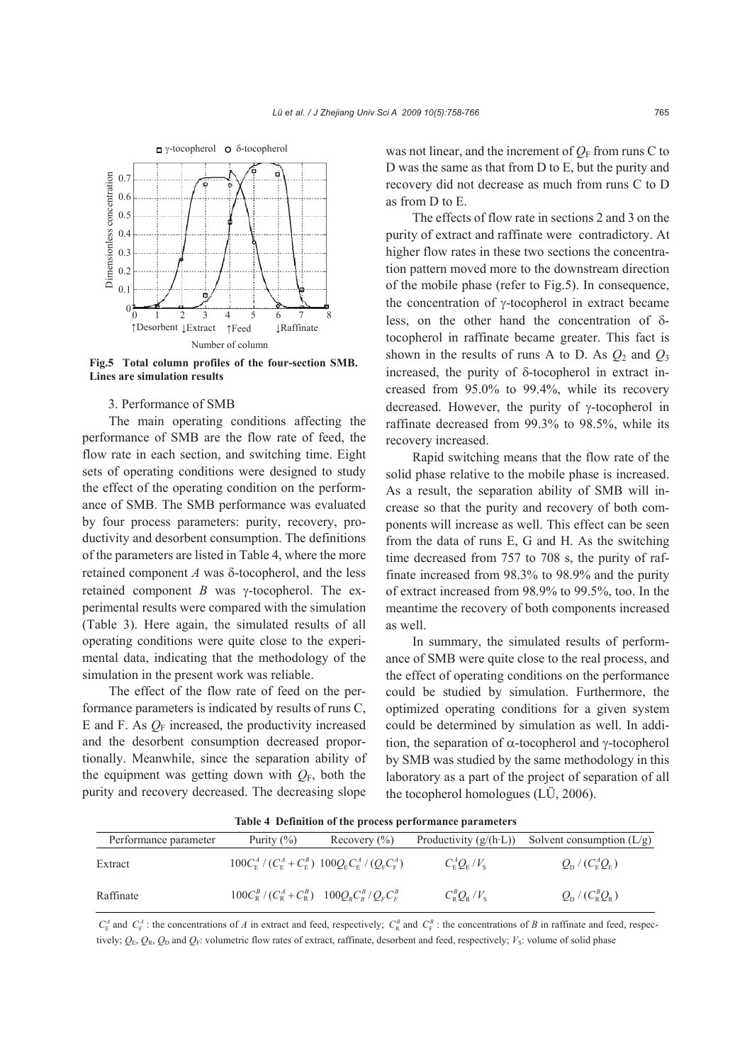

**Fig.5 Total column profiles of the four-section SMB.** 

## 3. Performance of SMB

The main operating conditions affecting the performance of SMB are the flow rate of feed, the flow rate in each section, and switching time. Eight sets of operating conditions were designed to study the effect of the operating condition on the performance of SMB. The SMB performance was evaluated by four process parameters: purity, recovery, productivity and desorbent consumption. The definitions of the parameters are listed in Table 4, where the more retained component *A* was δ-tocopherol, and the less retained component *B* was γ-tocopherol. The experimental results were compared with the simulation (Table 3). Here again, the simulated results of all operating conditions were quite close to the experimental data, indicating that the methodology of the simulation in the present work was reliable.

The effect of the flow rate of feed on the performance parameters is indicated by results of runs C, E and F. As  $Q_F$  increased, the productivity increased and the desorbent consumption decreased proportionally. Meanwhile, since the separation ability of the equipment was getting down with  $Q_F$ , both the purity and recovery decreased. The decreasing slope

was not linear, and the increment of  $Q_F$  from runs C to D was the same as that from D to E, but the purity and recovery did not decrease as much from runs C to D as from D to E.

The effects of flow rate in sections 2 and 3 on the purity of extract and raffinate were contradictory. At higher flow rates in these two sections the concentration pattern moved more to the downstream direction of the mobile phase (refer to Fig.5). In consequence, the concentration of γ-tocopherol in extract became less, on the other hand the concentration of  $\delta$ tocopherol in raffinate became greater. This fact is shown in the results of runs A to D. As  $O_2$  and  $O_3$ increased, the purity of δ-tocopherol in extract increased from 95.0% to 99.4%, while its recovery decreased. However, the purity of γ-tocopherol in raffinate decreased from 99.3% to 98.5%, while its recovery increased.

Rapid switching means that the flow rate of the solid phase relative to the mobile phase is increased. As a result, the separation ability of SMB will increase so that the purity and recovery of both components will increase as well. This effect can be seen from the data of runs E, G and H. As the switching time decreased from 757 to 708 s, the purity of raffinate increased from 98.3% to 98.9% and the purity of extract increased from 98.9% to 99.5%, too. In the meantime the recovery of both components increased as well.

In summary, the simulated results of performance of SMB were quite close to the real process, and the effect of operating conditions on the performance could be studied by simulation. Furthermore, the optimized operating conditions for a given system could be determined by simulation as well. In addition, the separation of  $α$ -tocopherol and γ-tocopherol by SMB was studied by the same methodology in this laboratory as a part of the project of separation of all the tocopherol homologues (LÜ, 2006).

| Performance parameter | Purity $(\% )$                                                                              | Recovery $(\% )$                                                                          |                                       | Productivity $(g/(h \cdot L))$ Solvent consumption $(L/g)$ |
|-----------------------|---------------------------------------------------------------------------------------------|-------------------------------------------------------------------------------------------|---------------------------------------|------------------------------------------------------------|
| Extract               |                                                                                             | $100C_{\rm F}^A/(C_{\rm F}^A+C_{\rm F}^B) 100Q_{\rm F}C_{\rm F}^A/(Q_{\rm F}C_{\rm F}^A)$ | $C_{\rm E}^A Q_{\rm E}/V_{\rm S}$     | $Q_{\rm D}$ / $(C_{\rm E}^A Q_{\rm E})$                    |
| Raffinate             | $100C_{\rm R}^B/(C_{\rm R}^A + C_{\rm R}^B)$ $100Q_{\rm R}C_{\rm R}^B/Q_{\rm F}C_{\rm F}^B$ |                                                                                           | $C_{\rm R}^B Q_{\rm R}$ / $V_{\rm S}$ | $Q_{\rm D}$ / $(C_{\rm R}^B Q_{\rm R})$                    |

**Table 4 Definition of the process performance parameters** 

 $C_{\rm E}^{\rm A}$  and  $C_{\rm F}^{\rm A}$ : the concentrations of *A* in extract and feed, respectively;  $C_{\rm R}^{\rm B}$  and  $C_{\rm F}^{\rm B}$ : the concentrations of *B* in raffinate and feed, respectively;  $Q_{\rm E}$ ,  $Q_{\rm R}$ ,  $Q_{\rm D}$  and  $Q_{\rm F}$ : volumetric flow rates of extract, raffinate, desorbent and feed, respectively;  $V_{\rm S}$ : volume of solid phase